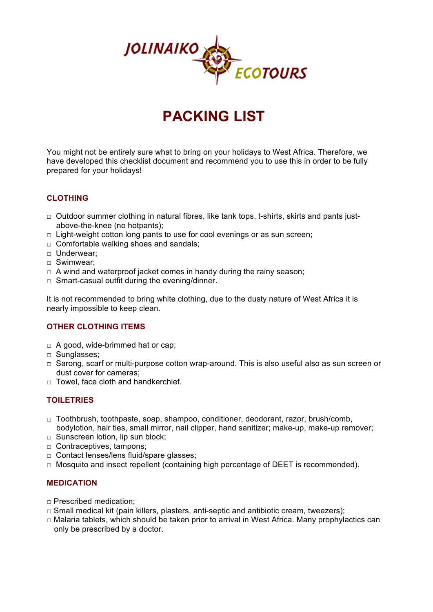

# **PACKING LIST**

You might not be entirely sure what to bring on your holidays to West Africa. Therefore, we have developed this checklist document and recommend you to use this in order to be fully prepared for your holidays!

## **CLOTHING**

- $\Box$  Outdoor summer clothing in natural fibres, like tank tops, t-shirts, skirts and pants justabove-the-knee (no hotpants);
- $\Box$  Light-weight cotton long pants to use for cool evenings or as sun screen;
- □ Comfortable walking shoes and sandals;
- □ Underwear;
- □ Swimwear;
- $\Box$  A wind and waterproof jacket comes in handy during the rainy season;
- $\Box$  Smart-casual outfit during the evening/dinner.

It is not recommended to bring white clothing, due to the dusty nature of West Africa it is nearly impossible to keep clean.

#### **OTHER CLOTHING ITEMS**

- $\Box$  A good, wide-brimmed hat or cap;
- □ Sunglasses;
- $\square$  Sarong, scarf or multi-purpose cotton wrap-around. This is also useful also as sun screen or dust cover for cameras;
- $\Box$  Towel, face cloth and handkerchief.

#### **TOILETRIES**

- □ Toothbrush, toothpaste, soap, shampoo, conditioner, deodorant, razor, brush/comb, bodylotion, hair ties, small mirror, nail clipper, hand sanitizer; make-up, make-up remover;
- □ Sunscreen lotion, lip sun block;
- □ Contraceptives, tampons;
- □ Contact lenses/lens fluid/spare glasses;
- □ Mosquito and insect repellent (containing high percentage of DEET is recommended).

#### **MEDICATION**

- □ Prescribed medication;
- □ Small medical kit (pain killers, plasters, anti-septic and antibiotic cream, tweezers);
- $\Box$  Malaria tablets, which should be taken prior to arrival in West Africa. Many prophylactics can only be prescribed by a doctor.